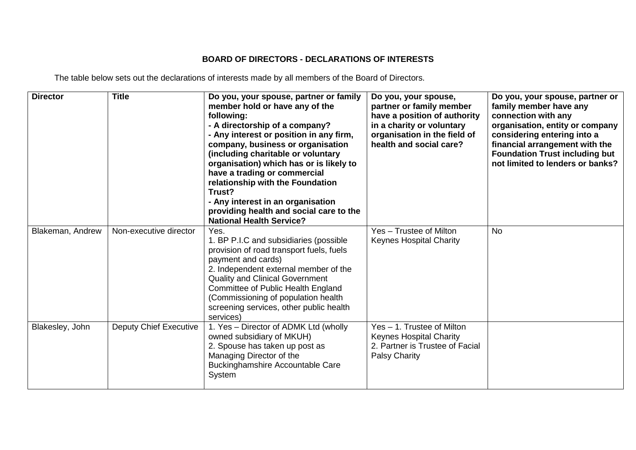## **BOARD OF DIRECTORS - DECLARATIONS OF INTERESTS**

The table below sets out the declarations of interests made by all members of the Board of Directors.

| <b>Director</b>  | <b>Title</b>                  | Do you, your spouse, partner or family<br>member hold or have any of the<br>following:<br>- A directorship of a company?<br>- Any interest or position in any firm,<br>company, business or organisation<br>(including charitable or voluntary<br>organisation) which has or is likely to<br>have a trading or commercial<br>relationship with the Foundation<br>Trust?<br>- Any interest in an organisation<br>providing health and social care to the<br><b>National Health Service?</b> | Do you, your spouse,<br>partner or family member<br>have a position of authority<br>in a charity or voluntary<br>organisation in the field of<br>health and social care? | Do you, your spouse, partner or<br>family member have any<br>connection with any<br>organisation, entity or company<br>considering entering into a<br>financial arrangement with the<br><b>Foundation Trust including but</b><br>not limited to lenders or banks? |
|------------------|-------------------------------|--------------------------------------------------------------------------------------------------------------------------------------------------------------------------------------------------------------------------------------------------------------------------------------------------------------------------------------------------------------------------------------------------------------------------------------------------------------------------------------------|--------------------------------------------------------------------------------------------------------------------------------------------------------------------------|-------------------------------------------------------------------------------------------------------------------------------------------------------------------------------------------------------------------------------------------------------------------|
| Blakeman, Andrew | Non-executive director        | Yes.<br>1. BP P.I.C and subsidiaries (possible<br>provision of road transport fuels, fuels<br>payment and cards)<br>2. Independent external member of the<br><b>Quality and Clinical Government</b><br>Committee of Public Health England<br>(Commissioning of population health<br>screening services, other public health<br>services)                                                                                                                                                   | Yes - Trustee of Milton<br><b>Keynes Hospital Charity</b>                                                                                                                | <b>No</b>                                                                                                                                                                                                                                                         |
| Blakesley, John  | <b>Deputy Chief Executive</b> | 1. Yes - Director of ADMK Ltd (wholly<br>owned subsidiary of MKUH)<br>2. Spouse has taken up post as<br>Managing Director of the<br><b>Buckinghamshire Accountable Care</b><br>System                                                                                                                                                                                                                                                                                                      | Yes - 1. Trustee of Milton<br><b>Keynes Hospital Charity</b><br>2. Partner is Trustee of Facial<br><b>Palsy Charity</b>                                                  |                                                                                                                                                                                                                                                                   |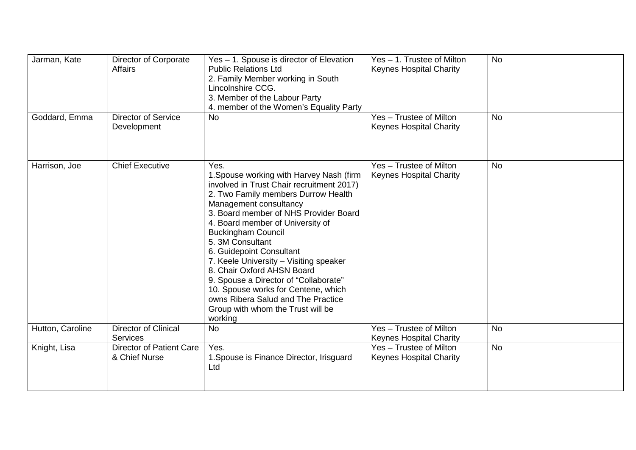| Jarman, Kate     | Director of Corporate<br>Affairs                 | Yes - 1. Spouse is director of Elevation<br><b>Public Relations Ltd</b><br>2. Family Member working in South<br>Lincolnshire CCG.<br>3. Member of the Labour Party<br>4. member of the Women's Equality Party                                                                                                                                                                                                                                                                                                                                                          | Yes - 1. Trustee of Milton<br><b>Keynes Hospital Charity</b> | <b>No</b> |
|------------------|--------------------------------------------------|------------------------------------------------------------------------------------------------------------------------------------------------------------------------------------------------------------------------------------------------------------------------------------------------------------------------------------------------------------------------------------------------------------------------------------------------------------------------------------------------------------------------------------------------------------------------|--------------------------------------------------------------|-----------|
| Goddard, Emma    | <b>Director of Service</b><br>Development        | <b>No</b>                                                                                                                                                                                                                                                                                                                                                                                                                                                                                                                                                              | Yes - Trustee of Milton<br><b>Keynes Hospital Charity</b>    | <b>No</b> |
| Harrison, Joe    | <b>Chief Executive</b>                           | Yes.<br>1. Spouse working with Harvey Nash (firm<br>involved in Trust Chair recruitment 2017)<br>2. Two Family members Durrow Health<br>Management consultancy<br>3. Board member of NHS Provider Board<br>4. Board member of University of<br><b>Buckingham Council</b><br>5. 3M Consultant<br>6. Guidepoint Consultant<br>7. Keele University - Visiting speaker<br>8. Chair Oxford AHSN Board<br>9. Spouse a Director of "Collaborate"<br>10. Spouse works for Centene, which<br>owns Ribera Salud and The Practice<br>Group with whom the Trust will be<br>working | Yes - Trustee of Milton<br><b>Keynes Hospital Charity</b>    | <b>No</b> |
| Hutton, Caroline | <b>Director of Clinical</b><br><b>Services</b>   | <b>No</b>                                                                                                                                                                                                                                                                                                                                                                                                                                                                                                                                                              | Yes - Trustee of Milton<br><b>Keynes Hospital Charity</b>    | <b>No</b> |
| Knight, Lisa     | <b>Director of Patient Care</b><br>& Chief Nurse | Yes.<br>1. Spouse is Finance Director, Irisguard<br>Ltd                                                                                                                                                                                                                                                                                                                                                                                                                                                                                                                | Yes - Trustee of Milton<br><b>Keynes Hospital Charity</b>    | <b>No</b> |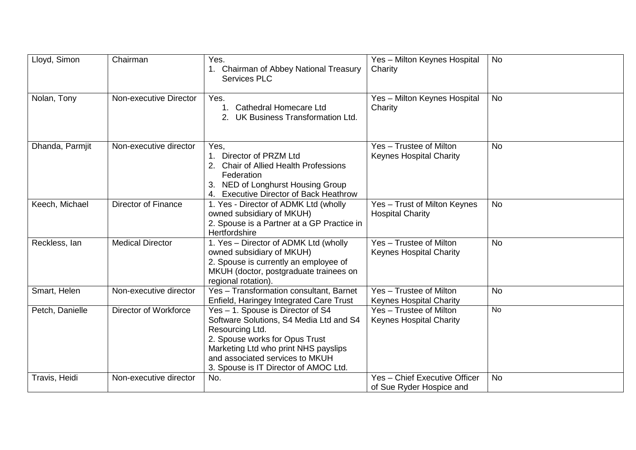| Lloyd, Simon    | Chairman                     | Yes.<br>Chairman of Abbey National Treasury<br><b>Services PLC</b>                                                                                                                                                                                    | Yes - Milton Keynes Hospital<br>Charity                     | <b>No</b> |
|-----------------|------------------------------|-------------------------------------------------------------------------------------------------------------------------------------------------------------------------------------------------------------------------------------------------------|-------------------------------------------------------------|-----------|
| Nolan, Tony     | Non-executive Director       | Yes.<br><b>Cathedral Homecare Ltd</b><br>2. UK Business Transformation Ltd.                                                                                                                                                                           | Yes - Milton Keynes Hospital<br>Charity                     | <b>No</b> |
| Dhanda, Parmjit | Non-executive director       | Yes,<br>Director of PRZM Ltd<br><b>Chair of Allied Health Professions</b><br>Federation<br>3. NED of Longhurst Housing Group<br><b>Executive Director of Back Heathrow</b>                                                                            | Yes - Trustee of Milton<br><b>Keynes Hospital Charity</b>   | <b>No</b> |
| Keech, Michael  | <b>Director of Finance</b>   | 1. Yes - Director of ADMK Ltd (wholly<br>owned subsidiary of MKUH)<br>2. Spouse is a Partner at a GP Practice in<br>Hertfordshire                                                                                                                     | Yes - Trust of Milton Keynes<br><b>Hospital Charity</b>     | <b>No</b> |
| Reckless, Ian   | <b>Medical Director</b>      | 1. Yes - Director of ADMK Ltd (wholly<br>owned subsidiary of MKUH)<br>2. Spouse is currently an employee of<br>MKUH (doctor, postgraduate trainees on<br>regional rotation).                                                                          | Yes - Trustee of Milton<br><b>Keynes Hospital Charity</b>   | <b>No</b> |
| Smart, Helen    | Non-executive director       | Yes - Transformation consultant, Barnet<br>Enfield, Haringey Integrated Care Trust                                                                                                                                                                    | Yes - Trustee of Milton<br><b>Keynes Hospital Charity</b>   | <b>No</b> |
| Petch, Danielle | <b>Director of Workforce</b> | Yes - 1. Spouse is Director of S4<br>Software Solutions, S4 Media Ltd and S4<br>Resourcing Ltd.<br>2. Spouse works for Opus Trust<br>Marketing Ltd who print NHS payslips<br>and associated services to MKUH<br>3. Spouse is IT Director of AMOC Ltd. | $Yes -$ Trustee of Milton<br><b>Keynes Hospital Charity</b> | <b>No</b> |
| Travis, Heidi   | Non-executive director       | No.                                                                                                                                                                                                                                                   | Yes - Chief Executive Officer<br>of Sue Ryder Hospice and   | <b>No</b> |